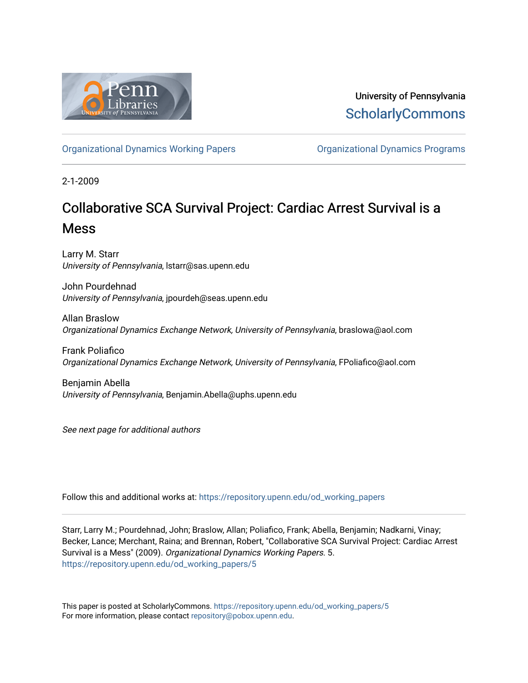

University of Pennsylvania **ScholarlyCommons** 

[Organizational Dynamics Working Papers](https://repository.upenn.edu/od_working_papers) [Organizational Dynamics Programs](https://repository.upenn.edu/organizational_dynamics) 

2-1-2009

# Collaborative SCA Survival Project: Cardiac Arrest Survival is a Mess

Larry M. Starr University of Pennsylvania, lstarr@sas.upenn.edu

John Pourdehnad University of Pennsylvania, jpourdeh@seas.upenn.edu

Allan Braslow Organizational Dynamics Exchange Network, University of Pennsylvania, braslowa@aol.com

Frank Poliafico Organizational Dynamics Exchange Network, University of Pennsylvania, FPoliafico@aol.com

Benjamin Abella University of Pennsylvania, Benjamin.Abella@uphs.upenn.edu

See next page for additional authors

Follow this and additional works at: [https://repository.upenn.edu/od\\_working\\_papers](https://repository.upenn.edu/od_working_papers?utm_source=repository.upenn.edu%2Fod_working_papers%2F5&utm_medium=PDF&utm_campaign=PDFCoverPages) 

Starr, Larry M.; Pourdehnad, John; Braslow, Allan; Poliafico, Frank; Abella, Benjamin; Nadkarni, Vinay; Becker, Lance; Merchant, Raina; and Brennan, Robert, "Collaborative SCA Survival Project: Cardiac Arrest Survival is a Mess" (2009). Organizational Dynamics Working Papers. 5. [https://repository.upenn.edu/od\\_working\\_papers/5](https://repository.upenn.edu/od_working_papers/5?utm_source=repository.upenn.edu%2Fod_working_papers%2F5&utm_medium=PDF&utm_campaign=PDFCoverPages) 

This paper is posted at ScholarlyCommons. [https://repository.upenn.edu/od\\_working\\_papers/5](https://repository.upenn.edu/od_working_papers/5) For more information, please contact [repository@pobox.upenn.edu.](mailto:repository@pobox.upenn.edu)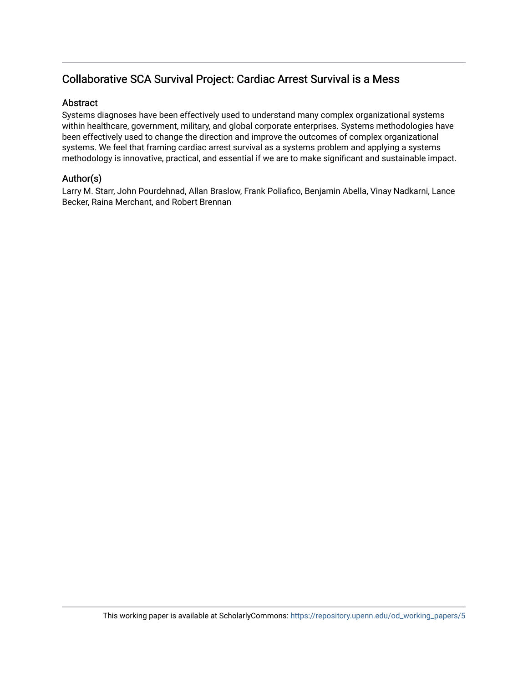## Collaborative SCA Survival Project: Cardiac Arrest Survival is a Mess

#### Abstract

Systems diagnoses have been effectively used to understand many complex organizational systems within healthcare, government, military, and global corporate enterprises. Systems methodologies have been effectively used to change the direction and improve the outcomes of complex organizational systems. We feel that framing cardiac arrest survival as a systems problem and applying a systems methodology is innovative, practical, and essential if we are to make significant and sustainable impact.

### Author(s)

Larry M. Starr, John Pourdehnad, Allan Braslow, Frank Poliafico, Benjamin Abella, Vinay Nadkarni, Lance Becker, Raina Merchant, and Robert Brennan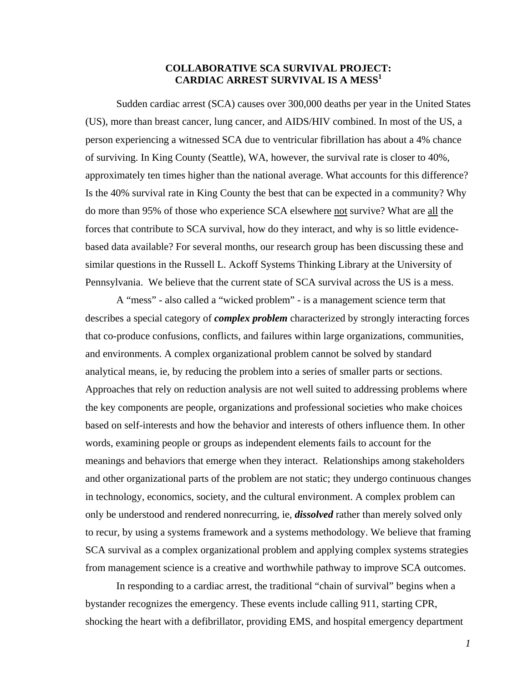#### **COLLABORATIVE SCA SURVIVAL PROJECT: CARDIAC ARREST SURVIVAL IS A MESS<sup>1</sup>**

Sudden cardiac arrest (SCA) causes over 300,000 deaths per year in the United States (US), more than breast cancer, lung cancer, and AIDS/HIV combined. In most of the US, a person experiencing a witnessed SCA due to ventricular fibrillation has about a 4% chance of surviving. In King County (Seattle), WA, however, the survival rate is closer to 40%, approximately ten times higher than the national average. What accounts for this difference? Is the 40% survival rate in King County the best that can be expected in a community? Why do more than 95% of those who experience SCA elsewhere not survive? What are all the forces that contribute to SCA survival, how do they interact, and why is so little evidencebased data available? For several months, our research group has been discussing these and similar questions in the Russell L. Ackoff Systems Thinking Library at the University of Pennsylvania. We believe that the current state of SCA survival across the US is a mess.

A "mess" - also called a "wicked problem" - is a management science term that describes a special category of *complex problem* characterized by strongly interacting forces that co-produce confusions, conflicts, and failures within large organizations, communities, and environments. A complex organizational problem cannot be solved by standard analytical means, ie, by reducing the problem into a series of smaller parts or sections. Approaches that rely on reduction analysis are not well suited to addressing problems where the key components are people, organizations and professional societies who make choices based on self-interests and how the behavior and interests of others influence them. In other words, examining people or groups as independent elements fails to account for the meanings and behaviors that emerge when they interact. Relationships among stakeholders and other organizational parts of the problem are not static; they undergo continuous changes in technology, economics, society, and the cultural environment. A complex problem can only be understood and rendered nonrecurring, ie, *dissolved* rather than merely solved only to recur, by using a systems framework and a systems methodology. We believe that framing SCA survival as a complex organizational problem and applying complex systems strategies from management science is a creative and worthwhile pathway to improve SCA outcomes.

In responding to a cardiac arrest, the traditional "chain of survival" begins when a bystander recognizes the emergency. These events include calling 911, starting CPR, shocking the heart with a defibrillator, providing EMS, and hospital emergency department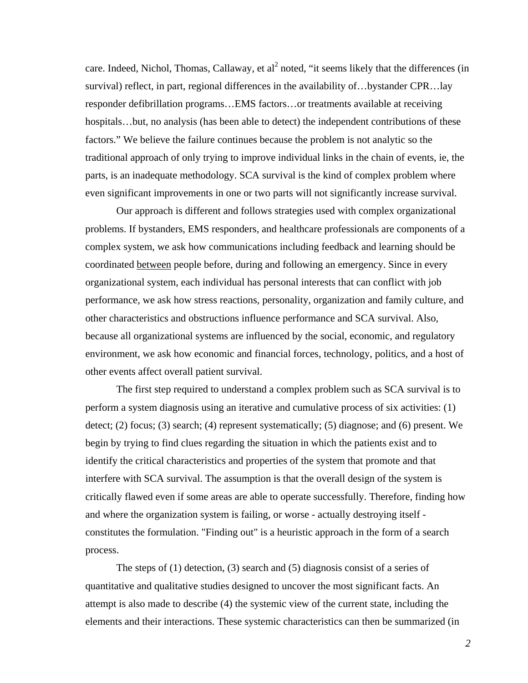care. Indeed, Nichol, Thomas, Callaway, et al<sup>2</sup> noted, "it seems likely that the differences (in survival) reflect, in part, regional differences in the availability of…bystander CPR…lay responder defibrillation programs…EMS factors…or treatments available at receiving hospitals…but, no analysis (has been able to detect) the independent contributions of these factors." We believe the failure continues because the problem is not analytic so the traditional approach of only trying to improve individual links in the chain of events, ie, the parts, is an inadequate methodology. SCA survival is the kind of complex problem where even significant improvements in one or two parts will not significantly increase survival.

Our approach is different and follows strategies used with complex organizational problems. If bystanders, EMS responders, and healthcare professionals are components of a complex system, we ask how communications including feedback and learning should be coordinated between people before, during and following an emergency. Since in every organizational system, each individual has personal interests that can conflict with job performance, we ask how stress reactions, personality, organization and family culture, and other characteristics and obstructions influence performance and SCA survival. Also, because all organizational systems are influenced by the social, economic, and regulatory environment, we ask how economic and financial forces, technology, politics, and a host of other events affect overall patient survival.

The first step required to understand a complex problem such as SCA survival is to perform a system diagnosis using an iterative and cumulative process of six activities: (1) detect; (2) focus; (3) search; (4) represent systematically; (5) diagnose; and (6) present. We begin by trying to find clues regarding the situation in which the patients exist and to identify the critical characteristics and properties of the system that promote and that interfere with SCA survival. The assumption is that the overall design of the system is critically flawed even if some areas are able to operate successfully. Therefore, finding how and where the organization system is failing, or worse - actually destroying itself constitutes the formulation. "Finding out" is a heuristic approach in the form of a search process.

The steps of (1) detection, (3) search and (5) diagnosis consist of a series of quantitative and qualitative studies designed to uncover the most significant facts. An attempt is also made to describe (4) the systemic view of the current state, including the elements and their interactions. These systemic characteristics can then be summarized (in